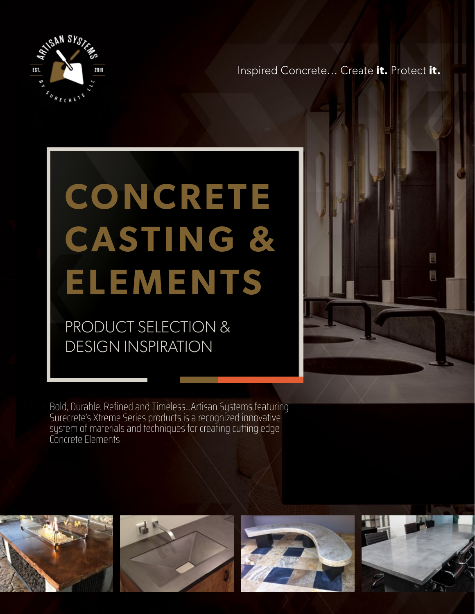

Inspired Concrete... Create **it.** Protect **it.**

# **CONCRETE C AST I N G & ELEMENTS**

PRODUCT SELECTION & DESIGN INSPIRATION

Bold, Durable, Refined and Timeless…Artisan Systems featuring Surecrete's Xtreme Series products is a recognized innovative system of materials and techniques for creating cutting edge Concrete Elements









L.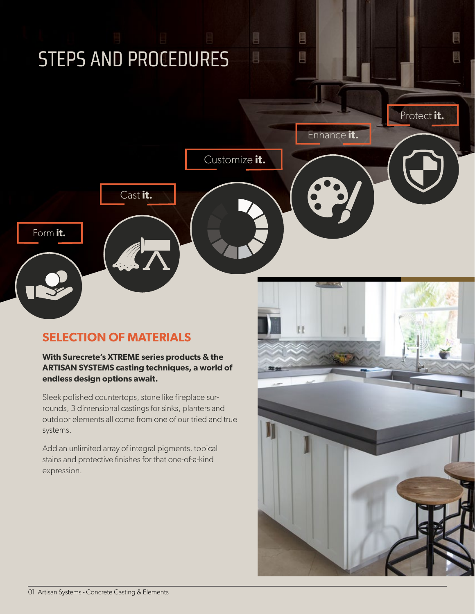# STEPS AND PROCEDURES

Cast **it.**

Enhance **it.**

Protect **it.**

ă.

Customize **it.**

目

圓

圃

H

### **SELECTION OF MATERIALS**

 $\mathbf{A}$ 

Form **it.**

### **With Surecrete's XTREME series products & the ARTISAN SYSTEMS casting techniques, a world of endless design options await.**

Sleek polished countertops, stone like fireplace surrounds, 3 dimensional castings for sinks, planters and outdoor elements all come from one of our tried and true systems.

Add an unlimited array of integral pigments, topical stains and protective finishes for that one-of-a-kind expression.

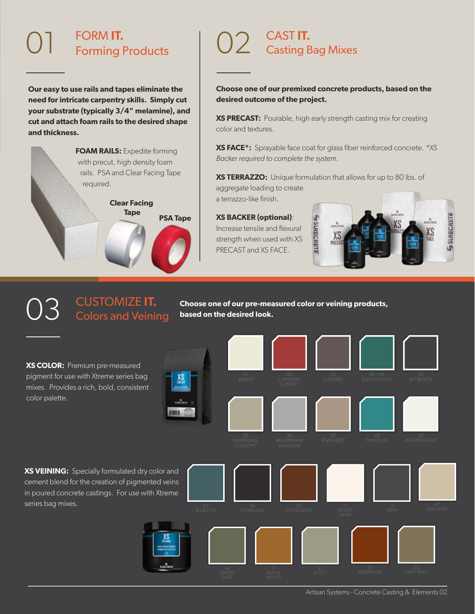### 01 FORM **IT.**  Forming Products

**Our easy to use rails and tapes eliminate the need for intricate carpentry skills. Simply cut your substrate (typically 3/4" melamine), and cut and attach foam rails to the desired shape and thickness.**



## 02 CAST **IT.**  Casting Bag Mixes

**Choose one of our premixed concrete products, based on the desired outcome of the project.** 

**XS PRECAST:** Pourable, high early strength casting mix for creating color and textures.

**XS FACE\*:** Sprayable face coat for glass fiber reinforced concrete. *\*XS Backer required to complete the system.*

**XS TERRAZZO:** Unique formulation that allows for up to 80 lbs. of aggregate loading to create a terrazzo-like finish.

**XS BACKER (optional)**: Increase tensile and flexural strength when used with XS PRECAST and XS FACE.



### 03 CUSTOMIZE **IT.**  Colors and Veining

**Choose one of our pre-measured color or veining products, based on the desired look.** 

**XS COLOR:** Premium pre-measured pigment for use with Xtreme series bag mixes. Provides a rich, bold, consistent color palette.

series bag mixes.